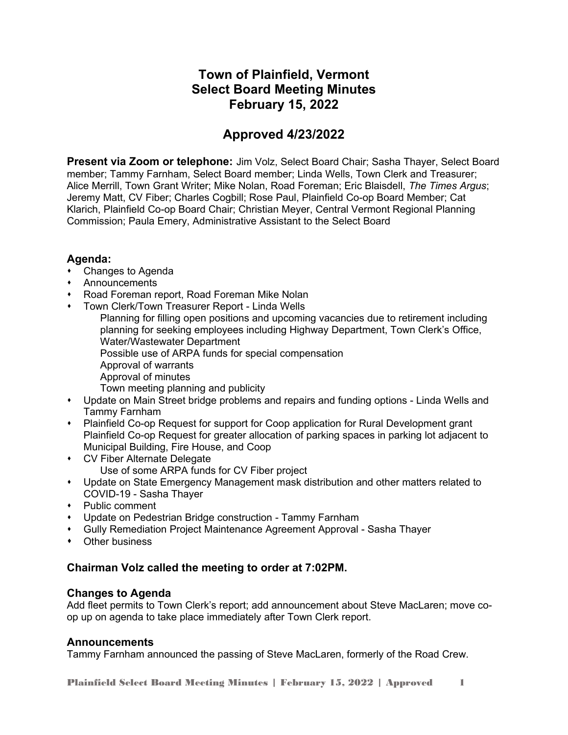# **Town of Plainfield, Vermont Select Board Meeting Minutes February 15, 2022**

# **Approved 4/23/2022**

**Present via Zoom or telephone:** Jim Volz, Select Board Chair; Sasha Thayer, Select Board member; Tammy Farnham, Select Board member; Linda Wells, Town Clerk and Treasurer; Alice Merrill, Town Grant Writer; Mike Nolan, Road Foreman; Eric Blaisdell, *The Times Argus*; Jeremy Matt, CV Fiber; Charles Cogbill; Rose Paul, Plainfield Co-op Board Member; Cat Klarich, Plainfield Co-op Board Chair; Christian Meyer, Central Vermont Regional Planning Commission; Paula Emery, Administrative Assistant to the Select Board

# **Agenda:**

- Changes to Agenda
- Announcements
- Road Foreman report, Road Foreman Mike Nolan
- Town Clerk/Town Treasurer Report Linda Wells
	- Planning for filling open positions and upcoming vacancies due to retirement including planning for seeking employees including Highway Department, Town Clerk's Office, Water/Wastewater Department
		- Possible use of ARPA funds for special compensation
		- Approval of warrants
		- Approval of minutes
		- Town meeting planning and publicity
- Update on Main Street bridge problems and repairs and funding options Linda Wells and Tammy Farnham
- Plainfield Co-op Request for support for Coop application for Rural Development grant Plainfield Co-op Request for greater allocation of parking spaces in parking lot adjacent to Municipal Building, Fire House, and Coop
- CV Fiber Alternate Delegate
	- Use of some ARPA funds for CV Fiber project
- Update on State Emergency Management mask distribution and other matters related to COVID-19 - Sasha Thayer
- Public comment
- Update on Pedestrian Bridge construction Tammy Farnham
- Gully Remediation Project Maintenance Agreement Approval Sasha Thayer
- Other business

# **Chairman Volz called the meeting to order at 7:02PM.**

# **Changes to Agenda**

Add fleet permits to Town Clerk's report; add announcement about Steve MacLaren; move coop up on agenda to take place immediately after Town Clerk report.

# **Announcements**

Tammy Farnham announced the passing of Steve MacLaren, formerly of the Road Crew.

Plainfield Select Board Meeting Minutes | February 15, 2022 | Approved 1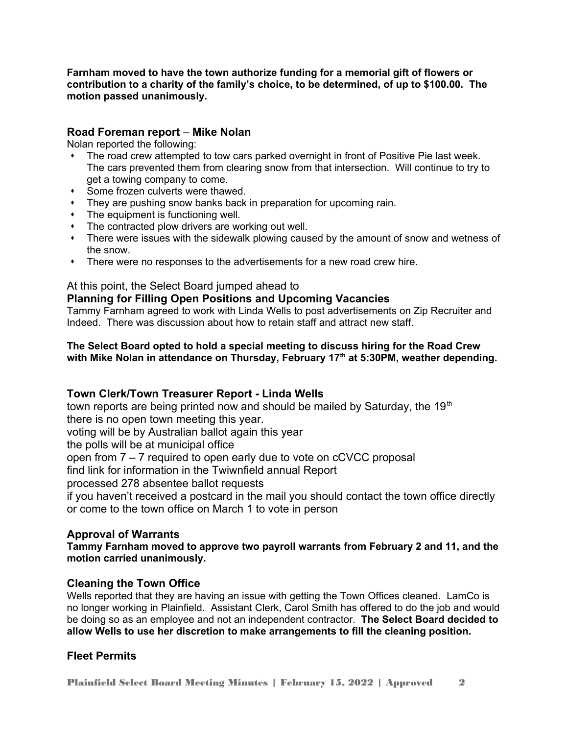**Farnham moved to have the town authorize funding for a memorial gift of flowers or contribution to a charity of the family's choice, to be determined, of up to \$100.00. The motion passed unanimously.** 

## **Road Foreman report** – **Mike Nolan**

Nolan reported the following:

- The road crew attempted to tow cars parked overnight in front of Positive Pie last week. The cars prevented them from clearing snow from that intersection. Will continue to try to get a towing company to come.
- Some frozen culverts were thawed.
- They are pushing snow banks back in preparation for upcoming rain.
- The equipment is functioning well.
- The contracted plow drivers are working out well.
- There were issues with the sidewalk plowing caused by the amount of snow and wetness of the snow.
- There were no responses to the advertisements for a new road crew hire.

## At this point, the Select Board jumped ahead to

## **Planning for Filling Open Positions and Upcoming Vacancies**

Tammy Farnham agreed to work with Linda Wells to post advertisements on Zip Recruiter and Indeed. There was discussion about how to retain staff and attract new staff.

### **The Select Board opted to hold a special meeting to discuss hiring for the Road Crew with Mike Nolan in attendance on Thursday, February 17th at 5:30PM, weather depending.**

# **Town Clerk/Town Treasurer Report - Linda Wells**

town reports are being printed now and should be mailed by Saturday, the  $19<sup>th</sup>$ there is no open town meeting this year.

voting will be by Australian ballot again this year

the polls will be at municipal office

open from 7 – 7 required to open early due to vote on cCVCC proposal

find link for information in the Twiwnfield annual Report

processed 278 absentee ballot requests

if you haven't received a postcard in the mail you should contact the town office directly or come to the town office on March 1 to vote in person

#### **Approval of Warrants**

**Tammy Farnham moved to approve two payroll warrants from February 2 and 11, and the motion carried unanimously.** 

#### **Cleaning the Town Office**

Wells reported that they are having an issue with getting the Town Offices cleaned. LamCo is no longer working in Plainfield. Assistant Clerk, Carol Smith has offered to do the job and would be doing so as an employee and not an independent contractor. **The Select Board decided to allow Wells to use her discretion to make arrangements to fill the cleaning position.** 

#### **Fleet Permits**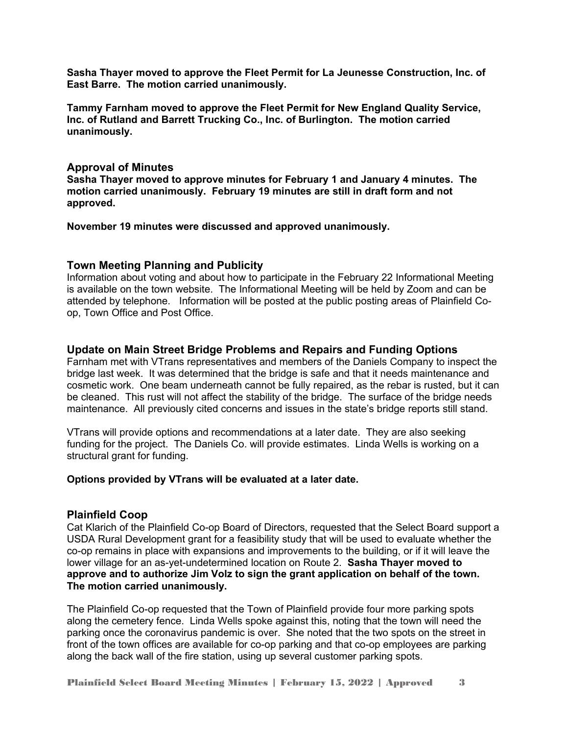**Sasha Thayer moved to approve the Fleet Permit for La Jeunesse Construction, Inc. of East Barre. The motion carried unanimously.**

**Tammy Farnham moved to approve the Fleet Permit for New England Quality Service, Inc. of Rutland and Barrett Trucking Co., Inc. of Burlington. The motion carried unanimously.** 

#### **Approval of Minutes**

**Sasha Thayer moved to approve minutes for February 1 and January 4 minutes. The motion carried unanimously. February 19 minutes are still in draft form and not approved.** 

**November 19 minutes were discussed and approved unanimously.** 

#### **Town Meeting Planning and Publicity**

Information about voting and about how to participate in the February 22 Informational Meeting is available on the town website. The Informational Meeting will be held by Zoom and can be attended by telephone. Information will be posted at the public posting areas of Plainfield Coop, Town Office and Post Office.

#### **Update on Main Street Bridge Problems and Repairs and Funding Options**

Farnham met with VTrans representatives and members of the Daniels Company to inspect the bridge last week. It was determined that the bridge is safe and that it needs maintenance and cosmetic work. One beam underneath cannot be fully repaired, as the rebar is rusted, but it can be cleaned. This rust will not affect the stability of the bridge. The surface of the bridge needs maintenance. All previously cited concerns and issues in the state's bridge reports still stand.

VTrans will provide options and recommendations at a later date. They are also seeking funding for the project. The Daniels Co. will provide estimates. Linda Wells is working on a structural grant for funding.

#### **Options provided by VTrans will be evaluated at a later date.**

#### **Plainfield Coop**

Cat Klarich of the Plainfield Co-op Board of Directors, requested that the Select Board support a USDA Rural Development grant for a feasibility study that will be used to evaluate whether the co-op remains in place with expansions and improvements to the building, or if it will leave the lower village for an as-yet-undetermined location on Route 2. **Sasha Thayer moved to approve and to authorize Jim Volz to sign the grant application on behalf of the town. The motion carried unanimously.**

The Plainfield Co-op requested that the Town of Plainfield provide four more parking spots along the cemetery fence. Linda Wells spoke against this, noting that the town will need the parking once the coronavirus pandemic is over. She noted that the two spots on the street in front of the town offices are available for co-op parking and that co-op employees are parking along the back wall of the fire station, using up several customer parking spots.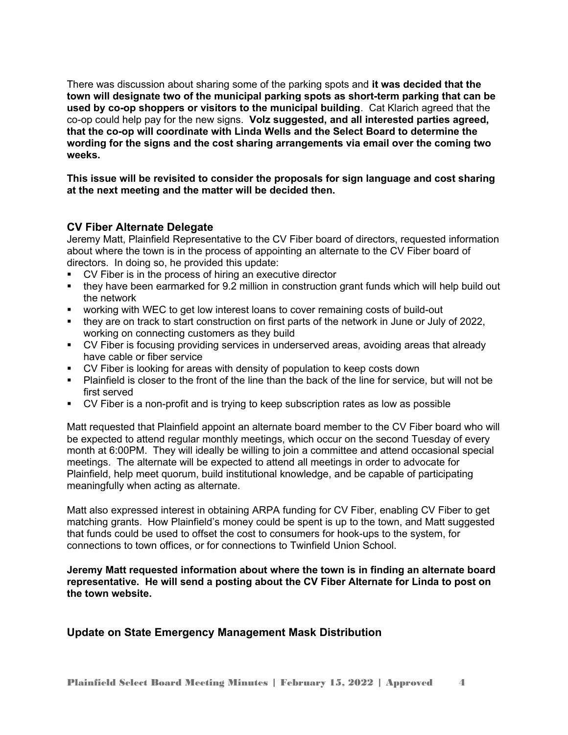There was discussion about sharing some of the parking spots and **it was decided that the town will designate two of the municipal parking spots as short-term parking that can be used by co-op shoppers or visitors to the municipal building**. Cat Klarich agreed that the co-op could help pay for the new signs. **Volz suggested, and all interested parties agreed, that the co-op will coordinate with Linda Wells and the Select Board to determine the wording for the signs and the cost sharing arrangements via email over the coming two weeks.** 

**This issue will be revisited to consider the proposals for sign language and cost sharing at the next meeting and the matter will be decided then.** 

#### **CV Fiber Alternate Delegate**

Jeremy Matt, Plainfield Representative to the CV Fiber board of directors, requested information about where the town is in the process of appointing an alternate to the CV Fiber board of directors. In doing so, he provided this update:

- CV Fiber is in the process of hiring an executive director
- $\blacksquare$  they have been earmarked for 9.2 million in construction grant funds which will help build out the network
- working with WEC to get low interest loans to cover remaining costs of build-out
- they are on track to start construction on first parts of the network in June or July of 2022, working on connecting customers as they build
- CV Fiber is focusing providing services in underserved areas, avoiding areas that already have cable or fiber service
- **CV Fiber is looking for areas with density of population to keep costs down**
- Plainfield is closer to the front of the line than the back of the line for service, but will not be first served
- CV Fiber is a non-profit and is trying to keep subscription rates as low as possible

Matt requested that Plainfield appoint an alternate board member to the CV Fiber board who will be expected to attend regular monthly meetings, which occur on the second Tuesday of every month at 6:00PM. They will ideally be willing to join a committee and attend occasional special meetings. The alternate will be expected to attend all meetings in order to advocate for Plainfield, help meet quorum, build institutional knowledge, and be capable of participating meaningfully when acting as alternate.

Matt also expressed interest in obtaining ARPA funding for CV Fiber, enabling CV Fiber to get matching grants. How Plainfield's money could be spent is up to the town, and Matt suggested that funds could be used to offset the cost to consumers for hook-ups to the system, for connections to town offices, or for connections to Twinfield Union School.

**Jeremy Matt requested information about where the town is in finding an alternate board representative. He will send a posting about the CV Fiber Alternate for Linda to post on the town website.** 

#### **Update on State Emergency Management Mask Distribution**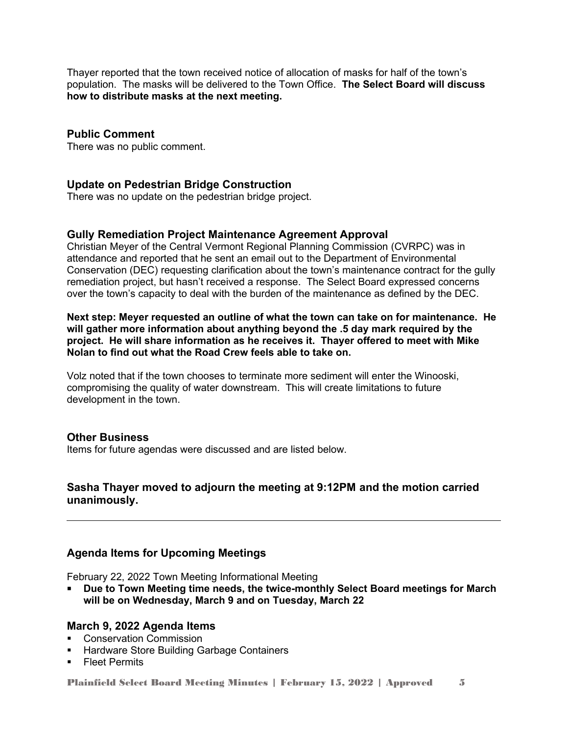Thayer reported that the town received notice of allocation of masks for half of the town's population. The masks will be delivered to the Town Office. **The Select Board will discuss how to distribute masks at the next meeting.** 

## **Public Comment**

There was no public comment.

#### **Update on Pedestrian Bridge Construction**

There was no update on the pedestrian bridge project.

#### **Gully Remediation Project Maintenance Agreement Approval**

Christian Meyer of the Central Vermont Regional Planning Commission (CVRPC) was in attendance and reported that he sent an email out to the Department of Environmental Conservation (DEC) requesting clarification about the town's maintenance contract for the gully remediation project, but hasn't received a response. The Select Board expressed concerns over the town's capacity to deal with the burden of the maintenance as defined by the DEC.

**Next step: Meyer requested an outline of what the town can take on for maintenance. He will gather more information about anything beyond the .5 day mark required by the project. He will share information as he receives it. Thayer offered to meet with Mike Nolan to find out what the Road Crew feels able to take on.** 

Volz noted that if the town chooses to terminate more sediment will enter the Winooski, compromising the quality of water downstream. This will create limitations to future development in the town.

#### **Other Business**

Items for future agendas were discussed and are listed below.

## **Sasha Thayer moved to adjourn the meeting at 9:12PM and the motion carried unanimously.**

#### **Agenda Items for Upcoming Meetings**

February 22, 2022 Town Meeting Informational Meeting

 **Due to Town Meeting time needs, the twice-monthly Select Board meetings for March will be on Wednesday, March 9 and on Tuesday, March 22**

#### **March 9, 2022 Agenda Items**

- **Conservation Commission**
- **Hardware Store Building Garbage Containers**
- **Fleet Permits**

Plainfield Select Board Meeting Minutes | February 15, 2022 | Approved 5